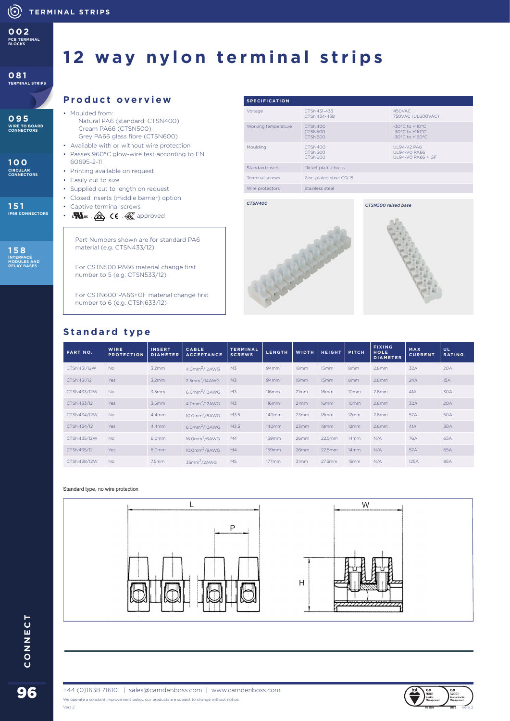**DIECAST ACCESSORIES PCB TERMINAL BLOCKS 002**

#### **081 TERMINAL STRIPS**

**095**

**WIRE TO BOARD CONNECTORS**

**100**

**CIRCULAR CONNECTORS**

**IP68 CONNECTORS**

**151**

**158 INTERFACE MODULES AND RELAY BASES**

**12 way nylon terminal strips**

## **Product overview**

- Moulded from: Natural PA6 (standard, CTSN400) Cream PA66 (CTSN500) Grey PA66 glass fibre (CTSN600)
- Available with or without wire protection
- Passes 960°C glow-wire test according to EN 60695-2-11
- Printing available on request
- Easily cut to size
- Supplied cut to length on request
- Closed inserts (middle barrier) option • Captive terminal screws
- C US , , , approved

Part Numbers shown are for standard PA6 material (e.g. CTSN433/12)

For CSTN500 PA66 material change first number to 5 (e.g. CTSN533/12)

For CSTN600 PA66+GF material change first number to 6 (e.g. CTSN633/12)

#### **SPECIFICATION** Voltage CTSN431-433<br>CTSN434-438 450VAC 750VAC (UL600VAC) Working temperature CTSN500 CTSN600 -30°C to +110°C -30°C to +110°C -30°C to +160°C Moulding CTSN400 CTSN500 **CTSN600** UL94-V2 PA6 UL94-V0 PA66 UL94-V0 PA66 + GF Standard insert Nickel-plated brass Terminal screws Zinc-plated steel CQ-15 Wire protectors Stainless steel

*CTSN400*





## **Standard type**

| PART NO.    | <b>WIRE</b><br><b>PROTECTION</b> | <b>INSERT</b><br><b>DIAMETER</b> | <b>CABLE</b><br><b>ACCEPTANCE</b> | <b>TERMINAL</b><br><b>SCREWS</b> | <b>LENGTH</b>    | <b>WIDTH</b> | <b>HEIGHT</b> | PITCH            | <b>FIXING</b><br><b>HOLE</b><br><b>DIAMETER</b> | MAX<br><b>CURRENT</b> | UL.<br><b>RATING</b> |
|-------------|----------------------------------|----------------------------------|-----------------------------------|----------------------------------|------------------|--------------|---------------|------------------|-------------------------------------------------|-----------------------|----------------------|
| CTSN431/12W | <b>No</b>                        | 3.2 <sub>mm</sub>                | 4.0mm <sup>2</sup> /12AWG         | M <sub>3</sub>                   | 94mm             | 18mm         | 15mm          | 8 <sub>mm</sub>  | 2.8 <sub>mm</sub>                               | 32A                   | 20A                  |
| CTSN431/12  | Yes                              | 3.2 <sub>mm</sub>                | $2.5$ mm <sup>2</sup> /14AWG      | M <sub>3</sub>                   | 94 <sub>mm</sub> | 18mm         | 15mm          | 8mm              | 2.8 <sub>mm</sub>                               | 24A                   | 15A                  |
| CTSN433/12W | <b>No</b>                        | 3.5mm                            | 6.0mm <sup>2</sup> /10AWG         | M <sub>3</sub>                   | 116mm            | 21mm         | 16mm          | 10 <sub>mm</sub> | 2.8 <sub>mm</sub>                               | 41A                   | 30A                  |
| CTSN433/12  | Yes                              | 3.5mm                            | 4.0mm <sup>2</sup> /12AWG         | M <sub>3</sub>                   | 116mm            | 21mm         | 16mm          | 10mm             | 2.8 <sub>mm</sub>                               | 32A                   | 20A                  |
| CTSN434/12W | <b>No</b>                        | $4.4$ mm                         | $10.0$ mm <sup>2</sup> /8AWG      | M3.5                             | 140mm            | 23mm         | 18mm          | 12mm             | 2.8 <sub>mm</sub>                               | 57A                   | <b>50A</b>           |
| CTSN434/12  | Yes                              | $4.4$ mm                         | 6.0mm <sup>2</sup> /10AWG         | M3.5                             | 140mm            | 23mm         | 18mm          | 12mm             | 2.8 <sub>mm</sub>                               | 41A                   | 30A                  |
| CTSN435/12W | <b>No</b>                        | 6.0mm                            | $16.0$ mm <sup>2</sup> /6AWG      | M4                               | 159mm            | 26mm         | 22.5mm        | 14mm             | N/A                                             | 76A                   | 65A                  |
| CTSN435/12  | Yes                              | 6.0mm                            | $10.0$ mm <sup>2</sup> /8AWG      | M4                               | 159mm            | 26mm         | 22.5mm        | 14mm             | N/A                                             | 57A                   | 65A                  |
| CTSN438/12W | <b>No</b>                        | $7.5$ mm                         | 35mm <sup>2</sup> /2AWG           | M <sub>5</sub>                   | 177mm            | 31mm         | 27.5mm        | 15mm             | N/A                                             | 125A                  | 85A                  |

#### Standard type, no wire protection







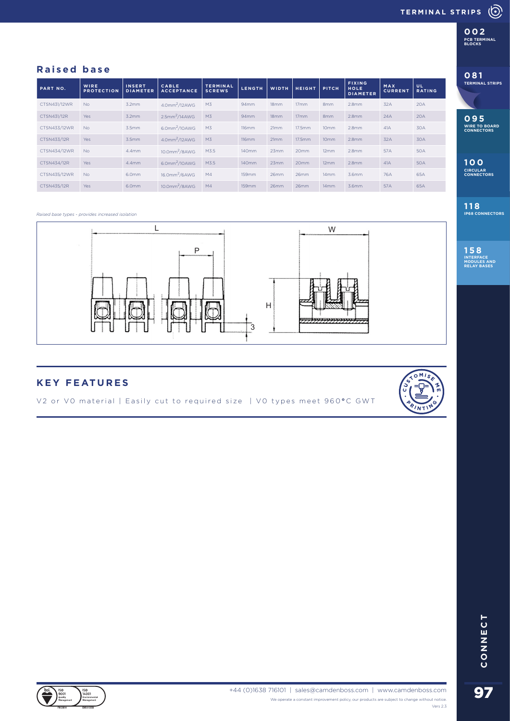**DIECAST ACCESSORIES DIECAST ACCESSORIES PCB TERMINAL BLOCKS 002**

**081**

**TERMINAL STRIPS**

**095**

**WIRE TO BOARD CONNECTORS**

**100**

**CIRCULAR CONNECTORS**

**118 IP68 CONNECTORS**

**158 INTERFACE MODULES AND RELAY BASES**

## **Raised base**

| PART NO.     | <b>WIRE</b>       | <b>INSERT</b>   | CABLE                        | <b>TERMINAL</b> | <b>LENGTH</b> | <b>WIDTH</b> | <b>HEIGHT</b>    | PITCH            | <b>FIXING</b><br><b>HOLE</b> | MAX            | <b>UL</b>     |
|--------------|-------------------|-----------------|------------------------------|-----------------|---------------|--------------|------------------|------------------|------------------------------|----------------|---------------|
|              | <b>PROTECTION</b> | <b>DIAMETER</b> | <b>ACCEPTANCE</b>            | <b>SCREWS</b>   |               |              |                  |                  | <b>DIAMETER</b>              | <b>CURRENT</b> | <b>RATING</b> |
| CTSN431/12WR | <b>No</b>         | 3.2mm           | 4.0mm <sup>2</sup> /12AWG    | M3              | 94mm          | 18mm         | 17 <sub>mm</sub> | 8 <sub>mm</sub>  | 2.8 <sub>mm</sub>            | 32A            | 20A           |
| CTSN431/12R  | <b>Yes</b>        | 3.2mm           | $2.5$ mm <sup>2</sup> /14AWG | M <sub>3</sub>  | 94mm          | 18mm         | 17mm             | 8mm              | 2.8 <sub>mm</sub>            | 24A            | 20A           |
| CTSN433/12WR | <b>No</b>         | 3.5mm           | $6.0$ mm <sup>2</sup> /10AWG | M <sub>3</sub>  | 116mm         | 21mm         | 17.5mm           | 10 <sub>mm</sub> | 2.8 <sub>mm</sub>            | 41A            | 30A           |
| CTSN433/12R  | <b>Yes</b>        | 3.5mm           | 4.0mm <sup>2</sup> /12AWG    | M3              | 116mm         | 21mm         | 17.5mm           | 10 <sub>mm</sub> | 2.8 <sub>mm</sub>            | 32A            | 30A           |
| CTSN434/12WR | <b>No</b>         | $4.4$ mm        | $10.0$ mm <sup>2</sup> /8AWG | M3.5            | 140mm         | 23mm         | 20mm             | 12mm             | 2.8 <sub>mm</sub>            | 57A            | <b>50A</b>    |
| CTSN434/12R  | <b>Yes</b>        | $4.4$ mm        | $6.0$ mm <sup>2</sup> /10AWG | M3.5            | 140mm         | 23mm         | 20mm             | 12mm             | 2.8 <sub>mm</sub>            | 41A            | <b>50A</b>    |
| CTSN435/12WR | <b>No</b>         | 6.0mm           | $16.0$ mm <sup>2</sup> /6AWG | M4              | <b>159mm</b>  | 26mm         | 26mm             | 14mm             | 3.6mm                        | 76A            | 65A           |
| CTSN435/12R  | <b>Yes</b>        | 6.0mm           | $10.0$ mm <sup>2</sup> /8AWG | M4              | 159mm         | 26mm         | 26mm             | 14mm             | 3.6mm                        | 57A            | 65A           |

#### *Raised base types - provides increased isolation*



## **KEY FEATURES**

V2 or V0 material | Easily cut to required size | V0 types meet 960 **°** C GWT





97**CONNECT**